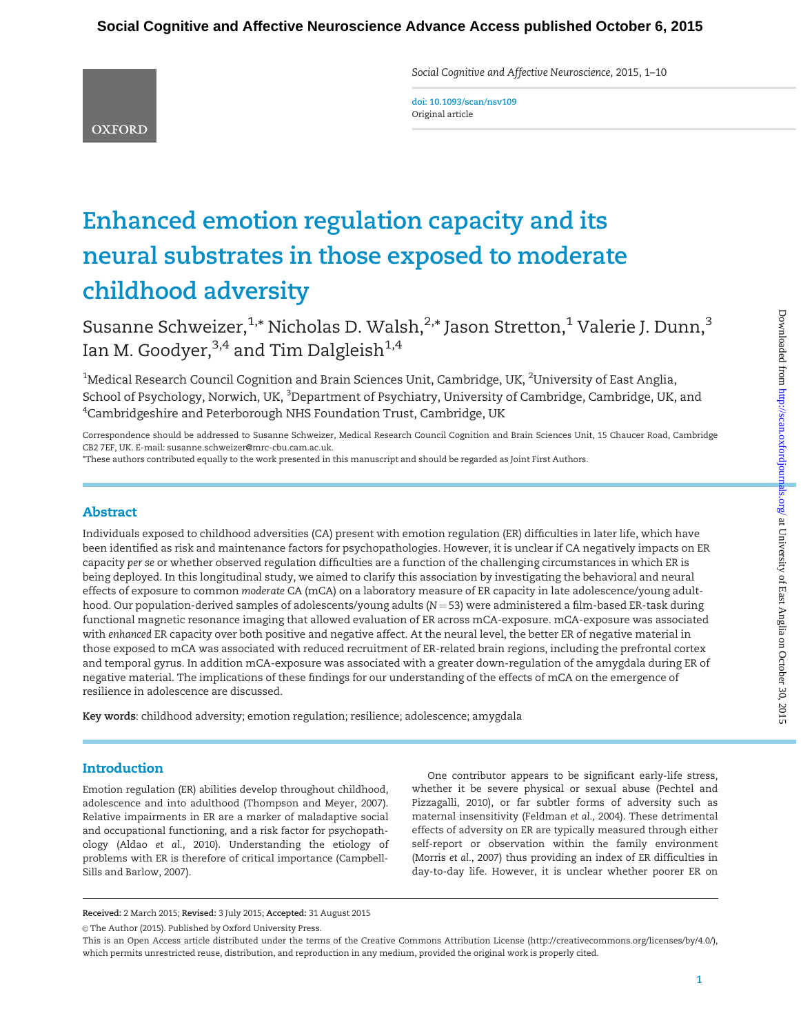Social Cognitive and Affective Neuroscience, 2015, 1–10

**OXFORD** 

doi: 10.1093/scan/nsv109 Original article

# Enhanced emotion regulation capacity and its neural substrates in those exposed to moderate childhood adversity

Susanne Schweizer,  $1,*$  Nicholas D. Walsh,  $2,*$  Jason Stretton,  $1$  Valerie J. Dunn,  $3$ Ian M. Goodyer,  $3,4$  and Tim Dalgleish<sup>1,4</sup>

 $^{\rm 1}$ Medical Research Council Cognition and Brain Sciences Unit, Cambridge, UK,  $^{\rm 2}$ University of East Anglia, School of Psychology, Norwich, UK, <sup>3</sup>Department of Psychiatry, University of Cambridge, Cambridge, UK, and  $^4$ Cambridgeshire and Peterborough NHS Foundation Trust, Cambridge, UK

Correspondence should be addressed to Susanne Schweizer, Medical Research Council Cognition and Brain Sciences Unit, 15 Chaucer Road, Cambridge CB2 7EF, UK. E-mail: susanne.schweizer@mrc-cbu.cam.ac.uk.

\*These authors contributed equally to the work presented in this manuscript and should be regarded as Joint First Authors.

# Abstract

Individuals exposed to childhood adversities (CA) present with emotion regulation (ER) difficulties in later life, which have been identified as risk and maintenance factors for psychopathologies. However, it is unclear if CA negatively impacts on ER capacity per se or whether observed regulation difficulties are a function of the challenging circumstances in which ER is being deployed. In this longitudinal study, we aimed to clarify this association by investigating the behavioral and neural effects of exposure to common moderate CA (mCA) on a laboratory measure of ER capacity in late adolescence/young adulthood. Our population-derived samples of adolescents/young adults ( $N = 53$ ) were administered a film-based ER-task during functional magnetic resonance imaging that allowed evaluation of ER across mCA-exposure. mCA-exposure was associated with enhanced ER capacity over both positive and negative affect. At the neural level, the better ER of negative material in those exposed to mCA was associated with reduced recruitment of ER-related brain regions, including the prefrontal cortex and temporal gyrus. In addition mCA-exposure was associated with a greater down-regulation of the amygdala during ER of negative material. The implications of these findings for our understanding of the effects of mCA on the emergence of resilience in adolescence are discussed.

Key words: childhood adversity; emotion regulation; resilience; adolescence; amygdala

# **Introduction**

Emotion regulation (ER) abilities develop throughout childhood, adolescence and into adulthood ([Thompson and Meyer, 2007\)](#page-9-0). Relative impairments in ER are a marker of maladaptive social and occupational functioning, and a risk factor for psychopathology (Aldao et al.[, 2010\)](#page-8-0). Understanding the etiology of problems with ER is therefore of critical importance [\(Campbell-](#page-8-0)[Sills and Barlow, 2007\)](#page-8-0).

One contributor appears to be significant early-life stress, whether it be severe physical or sexual abuse [\(Pechtel and](#page-9-0) [Pizzagalli, 2010](#page-9-0)), or far subtler forms of adversity such as maternal insensitivity ([Feldman](#page-8-0) et al., 2004). These detrimental effects of adversity on ER are typically measured through either self-report or observation within the family environment [\(Morris](#page-9-0) et al., 2007) thus providing an index of ER difficulties in day-to-day life. However, it is unclear whether poorer ER on

Received: 2 March 2015; Revised: 3 July 2015; Accepted: 31 August 2015

© The Author (2015). Published by Oxford University Press.

This is an Open Access article distributed under the terms of the Creative Commons Attribution License (http://creativecommons.org/licenses/by/4.0/), which permits unrestricted reuse, distribution, and reproduction in any medium, provided the original work is properly cited.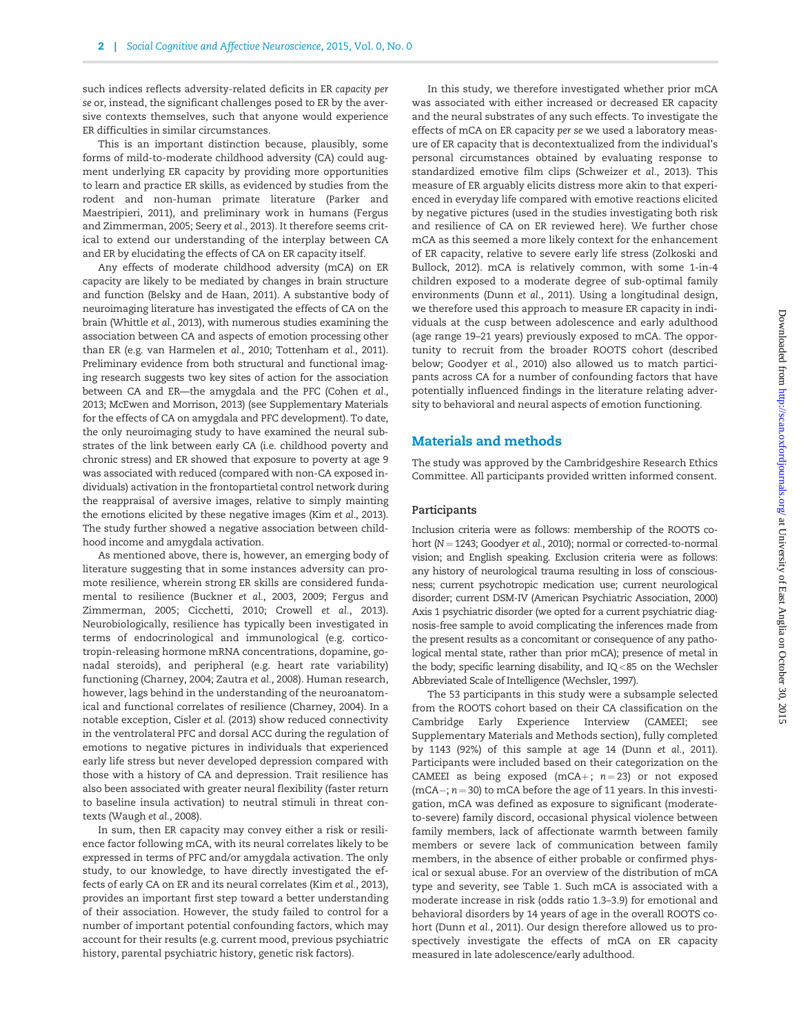such indices reflects adversity-related deficits in ER capacity per se or, instead, the significant challenges posed to ER by the aversive contexts themselves, such that anyone would experience ER difficulties in similar circumstances.

This is an important distinction because, plausibly, some forms of mild-to-moderate childhood adversity (CA) could augment underlying ER capacity by providing more opportunities to learn and practice ER skills, as evidenced by studies from the rodent and non-human primate literature ([Parker and](#page-9-0) [Maestripieri, 2011\)](#page-9-0), and preliminary work in humans ([Fergus](#page-8-0) [and Zimmerman, 2005;](#page-8-0) Seery et al.[, 2013\)](#page-9-0). It therefore seems critical to extend our understanding of the interplay between CA and ER by elucidating the effects of CA on ER capacity itself.

Any effects of moderate childhood adversity (mCA) on ER capacity are likely to be mediated by changes in brain structure and function [\(Belsky and de Haan, 2011\)](#page-8-0). A substantive body of neuroimaging literature has investigated the effects of CA on the brain [\(Whittle](#page-9-0) et al., 2013), with numerous studies examining the association between CA and aspects of emotion processing other than ER (e.g. [van Harmelen](#page-9-0) et al., 2010; [Tottenham](#page-9-0) et al., 2011). Preliminary evidence from both structural and functional imaging research suggests two key sites of action for the association between CA and ER—the amygdala and the PFC ([Cohen](#page-8-0) et al., [2013](#page-8-0); [McEwen and Morrison, 2013](#page-9-0)) (see [Supplementary Materials](http://scan.oxfordjournals.org/lookup/suppl/doi:10.1093/scan/nsv109/-/DC1) for the effects of CA on amygdala and PFC development). To date, the only neuroimaging study to have examined the neural substrates of the link between early CA (i.e. childhood poverty and chronic stress) and ER showed that exposure to poverty at age 9 was associated with reduced (compared with non-CA exposed individuals) activation in the frontopartietal control network during the reappraisal of aversive images, relative to simply mainting the emotions elicited by these negative images (Kim et al.[, 2013\)](#page-9-0). The study further showed a negative association between childhood income and amygdala activation.

As mentioned above, there is, however, an emerging body of literature suggesting that in some instances adversity can promote resilience, wherein strong ER skills are considered fundamental to resilience ([Buckner](#page-8-0) et al., 2003, [2009; Fergus and](#page-8-0) [Zimmerman, 2005; Cicchetti, 2010; Crowell](#page-8-0) et al., 2013). Neurobiologically, resilience has typically been investigated in terms of endocrinological and immunological (e.g. corticotropin-releasing hormone mRNA concentrations, dopamine, gonadal steroids), and peripheral (e.g. heart rate variability) functioning ([Charney, 2004](#page-8-0); [Zautra](#page-9-0) et al., 2008). Human research, however, lags behind in the understanding of the neuroanatomical and functional correlates of resilience ([Charney, 2004\)](#page-8-0). In a notable exception, Cisler et al. [\(2013\)](#page-8-0) show reduced connectivity in the ventrolateral PFC and dorsal ACC during the regulation of emotions to negative pictures in individuals that experienced early life stress but never developed depression compared with those with a history of CA and depression. Trait resilience has also been associated with greater neural flexibility (faster return to baseline insula activation) to neutral stimuli in threat contexts [\(Waugh](#page-9-0) et al., 2008).

In sum, then ER capacity may convey either a risk or resilience factor following mCA, with its neural correlates likely to be expressed in terms of PFC and/or amygdala activation. The only study, to our knowledge, to have directly investigated the effects of early CA on ER and its neural correlates (Kim et al.[, 2013\)](#page-9-0), provides an important first step toward a better understanding of their association. However, the study failed to control for a number of important potential confounding factors, which may account for their results (e.g. current mood, previous psychiatric history, parental psychiatric history, genetic risk factors).

In this study, we therefore investigated whether prior mCA was associated with either increased or decreased ER capacity and the neural substrates of any such effects. To investigate the effects of mCA on ER capacity per se we used a laboratory measure of ER capacity that is decontextualized from the individual's personal circumstances obtained by evaluating response to standardized emotive film clips ([Schweizer](#page-9-0) et al., 2013). This measure of ER arguably elicits distress more akin to that experienced in everyday life compared with emotive reactions elicited by negative pictures (used in the studies investigating both risk and resilience of CA on ER reviewed here). We further chose mCA as this seemed a more likely context for the enhancement of ER capacity, relative to severe early life stress [\(Zolkoski and](#page-9-0) [Bullock, 2012\)](#page-9-0). mCA is relatively common, with some 1-in-4 children exposed to a moderate degree of sub-optimal family environments (Dunn et al.[, 2011\)](#page-8-0). Using a longitudinal design, we therefore used this approach to measure ER capacity in individuals at the cusp between adolescence and early adulthood (age range 19–21 years) previously exposed to mCA. The opportunity to recruit from the broader ROOTS cohort (described below; [Goodyer](#page-8-0) et al., 2010) also allowed us to match participants across CA for a number of confounding factors that have potentially influenced findings in the literature relating adversity to behavioral and neural aspects of emotion functioning.

## Materials and methods

The study was approved by the Cambridgeshire Research Ethics Committee. All participants provided written informed consent.

#### Participants

Inclusion criteria were as follows: membership of the ROOTS cohort ( $N = 1243$ ; [Goodyer](#page-8-0) et al., 2010); normal or corrected-to-normal vision; and English speaking. Exclusion criteria were as follows: any history of neurological trauma resulting in loss of consciousness; current psychotropic medication use; current neurological disorder; current DSM-IV [\(American Psychiatric Association, 2000\)](#page-8-0) Axis 1 psychiatric disorder (we opted for a current psychiatric diagnosis-free sample to avoid complicating the inferences made from the present results as a concomitant or consequence of any pathological mental state, rather than prior mCA); presence of metal in the body; specific learning disability, and IQ<85 on the Wechsler Abbreviated Scale of Intelligence [\(Wechsler, 1997](#page-9-0)).

The 53 participants in this study were a subsample selected from the ROOTS cohort based on their CA classification on the Cambridge Early Experience Interview (CAMEEI; see [Supplementary Materials](http://scan.oxfordjournals.org/lookup/suppl/doi:10.1093/scan/nsv109/-/DC1) and Methods section), fully completed by 1143 (92%) of this sample at age 14 (Dunn et al.[, 2011\)](#page-8-0). Participants were included based on their categorization on the CAMEEI as being exposed (mCA+;  $n = 23$ ) or not exposed  $(mCA-; n=30)$  to mCA before the age of 11 years. In this investigation, mCA was defined as exposure to significant (moderateto-severe) family discord, occasional physical violence between family members, lack of affectionate warmth between family members or severe lack of communication between family members, in the absence of either probable or confirmed physical or sexual abuse. For an overview of the distribution of mCA type and severity, see [Table 1](#page-2-0). Such mCA is associated with a moderate increase in risk (odds ratio 1.3–3.9) for emotional and behavioral disorders by 14 years of age in the overall ROOTS cohort (Dunn et al.[, 2011](#page-8-0)). Our design therefore allowed us to prospectively investigate the effects of mCA on ER capacity measured in late adolescence/early adulthood.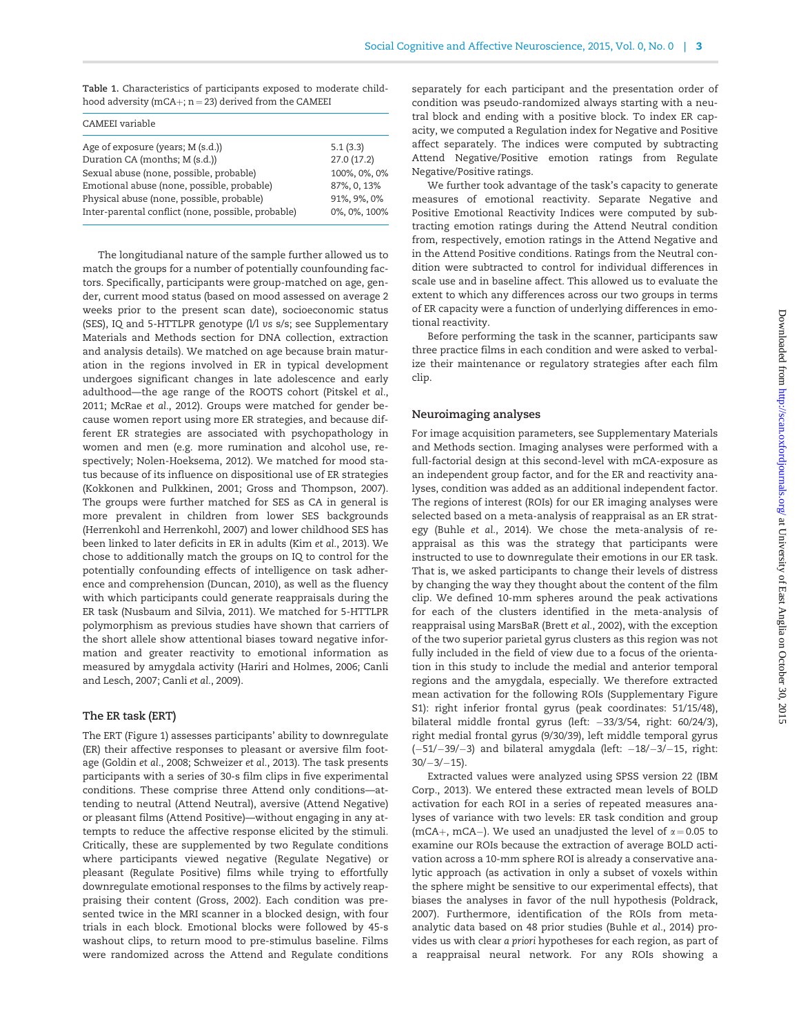<span id="page-2-0"></span>Table 1. Characteristics of participants exposed to moderate childhood adversity (mCA+;  $n = 23$ ) derived from the CAMEEI

| CAMEEI variable                                    |              |
|----------------------------------------------------|--------------|
| Age of exposure (years; M (s.d.))                  | 5.1(3.3)     |
| Duration CA (months; M (s.d.))                     | 27.0(17.2)   |
| Sexual abuse (none, possible, probable)            | 100%, 0%, 0% |
| Emotional abuse (none, possible, probable)         | 87%, 0, 13%  |
| Physical abuse (none, possible, probable)          | 91%, 9%, 0%  |
| Inter-parental conflict (none, possible, probable) | 0%, 0%, 100% |
|                                                    |              |

The longitudianal nature of the sample further allowed us to match the groups for a number of potentially counfounding factors. Specifically, participants were group-matched on age, gender, current mood status (based on mood assessed on average 2 weeks prior to the present scan date), socioeconomic status (SES), IQ and 5-HTTLPR genotype (l/l vs s/s; see [Supplementary](http://scan.oxfordjournals.org/lookup/suppl/doi:10.1093/scan/nsv109/-/DC1) [Materials](http://scan.oxfordjournals.org/lookup/suppl/doi:10.1093/scan/nsv109/-/DC1) and Methods section for DNA collection, extraction and analysis details). We matched on age because brain maturation in the regions involved in ER in typical development undergoes significant changes in late adolescence and early adulthood—the age range of the ROOTS cohort ([Pitskel](#page-9-0) et al., [2011; McRae](#page-9-0) et al., 2012). Groups were matched for gender because women report using more ER strategies, and because different ER strategies are associated with psychopathology in women and men (e.g. more rumination and alcohol use, respectively; [Nolen-Hoeksema, 2012](#page-9-0)). We matched for mood status because of its influence on dispositional use of ER strategies [\(Kokkonen and Pulkkinen, 2001;](#page-9-0) [Gross and Thompson, 2007\)](#page-8-0). The groups were further matched for SES as CA in general is more prevalent in children from lower SES backgrounds [\(Herrenkohl and Herrenkohl, 2007](#page-9-0)) and lower childhood SES has been linked to later deficits in ER in adults (Kim et al.[, 2013](#page-9-0)). We chose to additionally match the groups on IQ to control for the potentially confounding effects of intelligence on task adherence and comprehension [\(Duncan, 2010\)](#page-8-0), as well as the fluency with which participants could generate reappraisals during the ER task [\(Nusbaum and Silvia, 2011](#page-9-0)). We matched for 5-HTTLPR polymorphism as previous studies have shown that carriers of the short allele show attentional biases toward negative information and greater reactivity to emotional information as measured by amygdala activity [\(Hariri and Holmes, 2006](#page-8-0); [Canli](#page-8-0) [and Lesch, 2007](#page-8-0); Canli et al.[, 2009\)](#page-8-0).

### The ER task (ERT)

The ERT ([Figure 1\)](#page-3-0) assesses participants' ability to downregulate (ER) their affective responses to pleasant or aversive film footage [\(Goldin](#page-8-0) et al., 2008; [Schweizer](#page-9-0) et al., 2013). The task presents participants with a series of 30-s film clips in five experimental conditions. These comprise three Attend only conditions—attending to neutral (Attend Neutral), aversive (Attend Negative) or pleasant films (Attend Positive)—without engaging in any attempts to reduce the affective response elicited by the stimuli. Critically, these are supplemented by two Regulate conditions where participants viewed negative (Regulate Negative) or pleasant (Regulate Positive) films while trying to effortfully downregulate emotional responses to the films by actively reappraising their content [\(Gross, 2002](#page-8-0)). Each condition was presented twice in the MRI scanner in a blocked design, with four trials in each block. Emotional blocks were followed by 45-s washout clips, to return mood to pre-stimulus baseline. Films were randomized across the Attend and Regulate conditions separately for each participant and the presentation order of condition was pseudo-randomized always starting with a neutral block and ending with a positive block. To index ER capacity, we computed a Regulation index for Negative and Positive affect separately. The indices were computed by subtracting Attend Negative/Positive emotion ratings from Regulate Negative/Positive ratings.

We further took advantage of the task's capacity to generate measures of emotional reactivity. Separate Negative and Positive Emotional Reactivity Indices were computed by subtracting emotion ratings during the Attend Neutral condition from, respectively, emotion ratings in the Attend Negative and in the Attend Positive conditions. Ratings from the Neutral condition were subtracted to control for individual differences in scale use and in baseline affect. This allowed us to evaluate the extent to which any differences across our two groups in terms of ER capacity were a function of underlying differences in emotional reactivity.

Before performing the task in the scanner, participants saw three practice films in each condition and were asked to verbalize their maintenance or regulatory strategies after each film clip.

## Neuroimaging analyses

For image acquisition parameters, see [Supplementary Materials](http://scan.oxfordjournals.org/lookup/suppl/doi:10.1093/scan/nsv109/-/DC1) and Methods section. Imaging analyses were performed with a full-factorial design at this second-level with mCA-exposure as an independent group factor, and for the ER and reactivity analyses, condition was added as an additional independent factor. The regions of interest (ROIs) for our ER imaging analyses were selected based on a meta-analysis of reappraisal as an ER strategy (Buhle et al.[, 2014](#page-8-0)). We chose the meta-analysis of reappraisal as this was the strategy that participants were instructed to use to downregulate their emotions in our ER task. That is, we asked participants to change their levels of distress by changing the way they thought about the content of the film clip. We defined 10-mm spheres around the peak activations for each of the clusters identified in the meta-analysis of reappraisal using MarsBaR (Brett et al.[, 2002\)](#page-8-0), with the exception of the two superior parietal gyrus clusters as this region was not fully included in the field of view due to a focus of the orientation in this study to include the medial and anterior temporal regions and the amygdala, especially. We therefore extracted mean activation for the following ROIs ([Supplementary Figure](http://scan.oxfordjournals.org/lookup/suppl/doi:10.1093/scan/nsv109/-/DC1) [S1\)](http://scan.oxfordjournals.org/lookup/suppl/doi:10.1093/scan/nsv109/-/DC1): right inferior frontal gyrus (peak coordinates: 51/15/48), bilateral middle frontal gyrus (left: –33/3/54, right: 60/24/3), right medial frontal gyrus (9/30/39), left middle temporal gyrus (-51/-39/-3) and bilateral amygdala (left: -18/-3/-15, right:  $30/-3/-15$ ).

Extracted values were analyzed using SPSS version 22 [\(IBM](#page-9-0) [Corp., 2013](#page-9-0)). We entered these extracted mean levels of BOLD activation for each ROI in a series of repeated measures analyses of variance with two levels: ER task condition and group (mCA+, mCA–). We used an unadjusted the level of  $\alpha = 0.05$  to examine our ROIs because the extraction of average BOLD activation across a 10-mm sphere ROI is already a conservative analytic approach (as activation in only a subset of voxels within the sphere might be sensitive to our experimental effects), that biases the analyses in favor of the null hypothesis ([Poldrack,](#page-9-0) [2007\)](#page-9-0). Furthermore, identification of the ROIs from metaanalytic data based on 48 prior studies (Buhle et al.[, 2014\)](#page-8-0) provides us with clear a priori hypotheses for each region, as part of a reappraisal neural network. For any ROIs showing a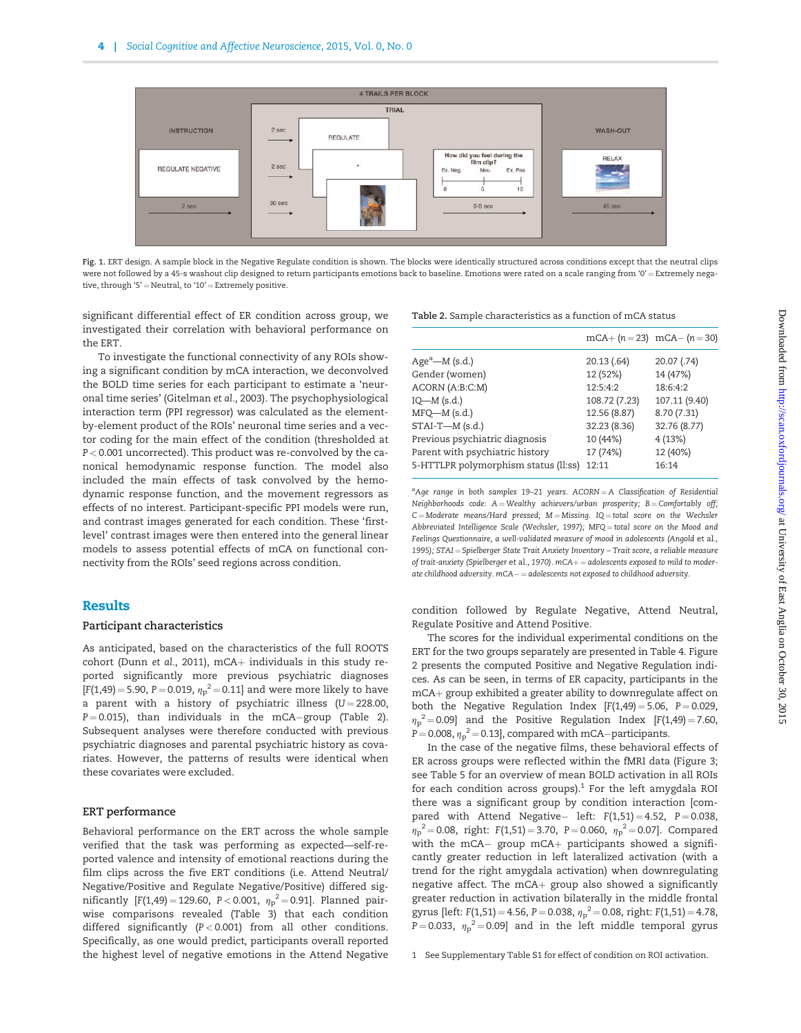<span id="page-3-0"></span>

Fig. 1. ERT design. A sample block in the Negative Regulate condition is shown. The blocks were identically structured across conditions except that the neutral clips were not followed by a 45-s washout clip designed to return participants emotions back to baseline. Emotions were rated on a scale ranging from '0' = Extremely negative, through '5' = Neutral, to '10' = Extremely positive.

significant differential effect of ER condition across group, we investigated their correlation with behavioral performance on the ERT.

To investigate the functional connectivity of any ROIs showing a significant condition by mCA interaction, we deconvolved the BOLD time series for each participant to estimate a 'neuronal time series' ([Gitelman](#page-8-0) et al., 2003). The psychophysiological interaction term (PPI regressor) was calculated as the elementby-element product of the ROIs' neuronal time series and a vector coding for the main effect of the condition (thresholded at P < 0.001 uncorrected). This product was re-convolved by the canonical hemodynamic response function. The model also included the main effects of task convolved by the hemodynamic response function, and the movement regressors as effects of no interest. Participant-specific PPI models were run, and contrast images generated for each condition. These 'firstlevel' contrast images were then entered into the general linear models to assess potential effects of mCA on functional connectivity from the ROIs' seed regions across condition.

## Results

#### Participant characteristics

As anticipated, based on the characteristics of the full ROOTS cohort (Dunn et al.[, 2011\)](#page-8-0), mCA $+$  individuals in this study reported significantly more previous psychiatric diagnoses [F(1,49) = 5.90, P = 0.019,  $\eta_p^2$  = 0.11] and were more likely to have a parent with a history of psychiatric illness ( $U = 228.00$ , P=0.015), than individuals in the mCA–group (Table 2). Subsequent analyses were therefore conducted with previous psychiatric diagnoses and parental psychiatric history as covariates. However, the patterns of results were identical when these covariates were excluded.

### ERT performance

Behavioral performance on the ERT across the whole sample verified that the task was performing as expected—self-reported valence and intensity of emotional reactions during the film clips across the five ERT conditions (i.e. Attend Neutral/ Negative/Positive and Regulate Negative/Positive) differed significantly [F(1,49)=129.60, P<0.001,  ${\eta_{\rm p}}^2$ =0.91]. Planned pairwise comparisons revealed ([Table 3](#page-4-0)) that each condition differed significantly (P < 0.001) from all other conditions. Specifically, as one would predict, participants overall reported the highest level of negative emotions in the Attend Negative

Table 2. Sample characteristics as a function of mCA status

|                                      | mCA+ $(n=23)$ mCA- $(n=30)$ |               |
|--------------------------------------|-----------------------------|---------------|
| $Agea$ — $M$ (s.d.)                  | 20.13(.64)                  | 20.07 (.74)   |
| Gender (women)                       | 12 (52%)                    | 14 (47%)      |
| ACORN (A:B:C:M)                      | 12:5:4:2                    | 18:6:4:2      |
| $IQ$ — $M$ (s.d.)                    | 108.72 (7.23)               | 107.11 (9.40) |
| $MFQ-M$ (s.d.)                       | 12.56 (8.87)                | 8.70 (7.31)   |
| $STAI-T-M(s.d.)$                     | 32.23 (8.36)                | 32.76 (8.77)  |
| Previous psychiatric diagnosis       | 10 (44%)                    | 4(13%)        |
| Parent with psychiatric history      | 17 (74%)                    | 12 (40%)      |
| 5-HTTLPR polymorphism status (ll:ss) | 12:11                       | 16:14         |

<sup>a</sup>Age range in both samples 19-21 years. ACORN = A Classification of Residential Neighborhoods code:  $A =$ Wealthy achievers/urban prosperity:  $B =$ Comfortably off;  $C =$ Moderate means/Hard pressed; M = Missing. IQ = total score on the Wechsler Abbreviated Intelligence Scale [\(Wechsler, 1997\);](#page-9-0) MFQ = total score on the Mood and Feelings Questionnaire, a well-validated measure of mood in adolescents [\(Angold](#page-8-0) et al., [1995](#page-8-0)); STAI = Spielberger State Trait Anxiety Inventory - Trait score, a reliable measure of trait-anxiety [\(Spielberger](#page-9-0) et al., 1970).  $mCA+=ad$ olescents exposed to mild to moderate childhood adversity.  $mCA-$  adolescents not exposed to childhood adversity.

condition followed by Regulate Negative, Attend Neutral, Regulate Positive and Attend Positive.

The scores for the individual experimental conditions on the ERT for the two groups separately are presented in [Table 4. Figure](#page-4-0) [2](#page-4-0) presents the computed Positive and Negative Regulation indices. As can be seen, in terms of ER capacity, participants in the mCA+ group exhibited a greater ability to downregulate affect on both the Negative Regulation Index  $[F(1,49) = 5.06, P = 0.029,$  $\eta_p^2$  = 0.09] and the Positive Regulation Index [F(1,49) = 7.60, P = 0.008,  ${\eta_p}^2$  = 0.13], compared with mCA-participants.

In the case of the negative films, these behavioral effects of ER across groups were reflected within the fMRI data ([Figure 3](#page-5-0); see [Table 5](#page-5-0) for an overview of mean BOLD activation in all ROIs for each condition across groups).<sup>1</sup> For the left amygdala ROI there was a significant group by condition interaction [compared with Attend Negative– left:  $F(1,51) = 4.52$ ,  $P = 0.038$ ,  ${\eta_{\rm p}}^2$  = 0.08, right: F(1,51) = 3.70, P = 0.060,  ${\eta_{\rm p}}^2$  = 0.07]. Compared with the mCA– group mCA $+$  participants showed a significantly greater reduction in left lateralized activation (with a trend for the right amygdala activation) when downregulating negative affect. The  $mCA+$  group also showed a significantly greater reduction in activation bilaterally in the middle frontal gyrus [left: F(1,51) = 4.56, P = 0.038,  ${\eta_p}^2$  = 0.08, right: F(1,51) = 4.78, P = 0.033,  $\eta_p^2$  = 0.09] and in the left middle temporal gyrus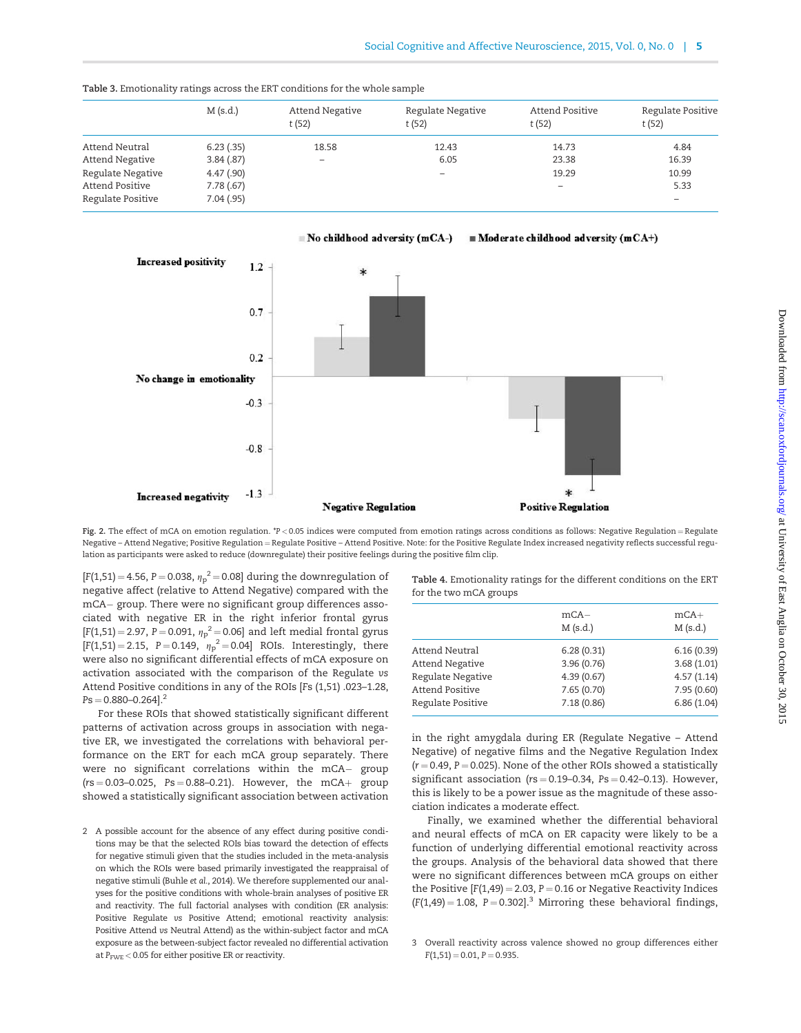|                                      | $M$ (s.d.)             | Attend Negative<br>t(52) | Regulate Negative<br>t(52) | Attend Positive<br>t(52) | Regulate Positive<br>t(52) |
|--------------------------------------|------------------------|--------------------------|----------------------------|--------------------------|----------------------------|
| Attend Neutral                       | 6.23(.35)              | 18.58                    | 12.43                      | 14.73                    | 4.84                       |
| Attend Negative                      | 3.84(.87)              | $\overline{\phantom{0}}$ | 6.05                       | 23.38                    | 16.39                      |
| Regulate Negative                    | 4.47(.90)              |                          | $\overline{\phantom{a}}$   | 19.29                    | 10.99                      |
| Attend Positive<br>Regulate Positive | 7.78(.67)<br>7.04(.95) |                          |                            | -                        | 5.33<br>$\qquad \qquad -$  |
|                                      |                        |                          |                            |                          |                            |

<span id="page-4-0"></span>Table 3. Emotionality ratings across the ERT conditions for the whole sample





Fig. 2. The effect of mCA on emotion regulation. \*P < 0.05 indices were computed from emotion ratings across conditions as follows: Negative Regulation = Regulate Negative – Attend Negative; Positive Regulation = Regulate Positive – Attend Positive. Note: for the Positive Regulate Index increased negativity reflects successful regulation as participants were asked to reduce (downregulate) their positive feelings during the positive film clip.

 $[F(1,51) = 4.56, P = 0.038, \eta_p^2 = 0.08]$  during the downregulation of negative affect (relative to Attend Negative) compared with the mCA- group. There were no significant group differences associated with negative ER in the right inferior frontal gyrus  $[F(1,51) = 2.97, P = 0.091, \eta_p^2 = 0.06]$  and left medial frontal gyrus  $[F(1,51) = 2.15, P = 0.149, \eta_p^2 = 0.04]$  ROIs. Interestingly, there were also no significant differential effects of mCA exposure on activation associated with the comparison of the Regulate vs Attend Positive conditions in any of the ROIs [Fs (1,51) .023–1.28,  $Ps = 0.880 - 0.264$ ].<sup>2</sup>

For these ROIs that showed statistically significant different patterns of activation across groups in association with negative ER, we investigated the correlations with behavioral performance on the ERT for each mCA group separately. There were no significant correlations within the mCA- group  $(rs = 0.03 - 0.025, Ps = 0.88 - 0.21).$  However, the mCA+ group showed a statistically significant association between activation Table 4. Emotionality ratings for the different conditions on the ERT for the two mCA groups

|                   | $mCA-$<br>$M$ (s.d.) | $mCA+$<br>$M$ (s.d.) |
|-------------------|----------------------|----------------------|
| Attend Neutral    | 6.28(0.31)           | 6.16(0.39)           |
| Attend Negative   | 3.96(0.76)           | 3.68(1.01)           |
| Regulate Negative | 4.39(0.67)           | 4.57(1.14)           |
| Attend Positive   | 7.65(0.70)           | 7.95 (0.60)          |
| Regulate Positive | 7.18(0.86)           | 6.86(1.04)           |
|                   |                      |                      |

in the right amygdala during ER (Regulate Negative – Attend Negative) of negative films and the Negative Regulation Index  $(r = 0.49, P = 0.025)$ . None of the other ROIs showed a statistically significant association ( $rs = 0.19 - 0.34$ ,  $Ps = 0.42 - 0.13$ ). However, this is likely to be a power issue as the magnitude of these association indicates a moderate effect.

Finally, we examined whether the differential behavioral and neural effects of mCA on ER capacity were likely to be a function of underlying differential emotional reactivity across the groups. Analysis of the behavioral data showed that there were no significant differences between mCA groups on either the Positive  $[F(1,49) = 2.03, P = 0.16$  or Negative Reactivity Indices  $(F(1,49) = 1.08, P = 0.302$ ]<sup>3</sup> Mirroring these behavioral findings,

<sup>2</sup> A possible account for the absence of any effect during positive conditions may be that the selected ROIs bias toward the detection of effects for negative stimuli given that the studies included in the meta-analysis on which the ROIs were based primarily investigated the reappraisal of negative stimuli [\(Buhle](#page-8-0) et al., 2014). We therefore supplemented our analyses for the positive conditions with whole-brain analyses of positive ER and reactivity. The full factorial analyses with condition (ER analysis: Positive Regulate vs Positive Attend; emotional reactivity analysis: Positive Attend vs Neutral Attend) as the within-subject factor and mCA exposure as the between-subject factor revealed no differential activation at  $P_{\text{FWE}}$  < 0.05 for either positive ER or reactivity.

<sup>3</sup> Overall reactivity across valence showed no group differences either  $F(1,51) = 0.01$ ,  $P = 0.935$ .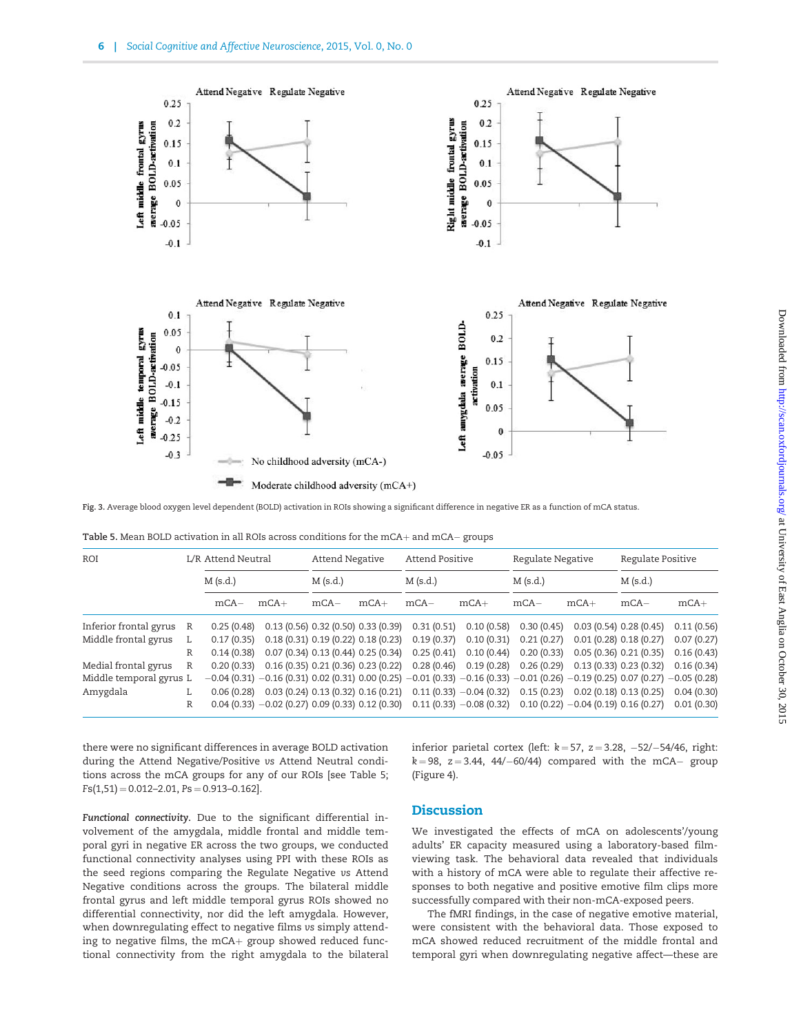<span id="page-5-0"></span>

Fig. 3. Average blood oxygen level dependent (BOLD) activation in ROIs showing a significant difference in negative ER as a function of mCA status.

|  |  |  |  |  |  | Table 5. Mean BOLD activation in all ROIs across conditions for the mCA $+$ and mCA $-$ groups |  |
|--|--|--|--|--|--|------------------------------------------------------------------------------------------------|--|
|--|--|--|--|--|--|------------------------------------------------------------------------------------------------|--|

| ROI                      |   | L/R Attend Neutral<br>$M$ (s.d.) |                                                                                                                                              | Attend Negative<br>$M$ (s.d.)  |        | Attend Positive<br>$M$ (s.d.) |            | Regulate Negative<br>$M$ (s.d.)                                 |                       | Regulate Positive<br>$M$ (s.d.) |            |
|--------------------------|---|----------------------------------|----------------------------------------------------------------------------------------------------------------------------------------------|--------------------------------|--------|-------------------------------|------------|-----------------------------------------------------------------|-----------------------|---------------------------------|------------|
|                          |   |                                  |                                                                                                                                              |                                |        |                               |            |                                                                 |                       |                                 |            |
|                          |   | $mCA-$                           | $mCA+$                                                                                                                                       | $mCA-$                         | $mCA+$ | $mCA-$                        | $mCA+$     | $mCA-$                                                          | $mCA+$                | $mCA-$                          | $mCA+$     |
| Inferior frontal gyrus R |   | 0.25(0.48)                       | 0.13(0.56)0.32(0.50)0.33(0.39)                                                                                                               |                                |        | 0.31(0.51)                    |            | $0.10(0.58)$ $0.30(0.45)$                                       | 0.03(0.54)0.28(0.45)  |                                 | 0.11(0.56) |
| Middle frontal gyrus     |   | 0.17(0.35)                       |                                                                                                                                              | 0.18(0.31)0.19(0.22)0.18(0.23) |        | 0.19(0.37)                    | 0.10(0.31) | 0.21(0.27)                                                      | 0.01(0.28)0.18(0.27)  |                                 | 0.07(0.27) |
|                          | R | 0.14(0.38)                       |                                                                                                                                              | 0.07(0.34)0.13(0.44)0.25(0.34) |        | 0.25(0.41)                    | 0.10(0.44) | 0.20(0.33)                                                      | 0.05(0.36) 0.21(0.35) |                                 | 0.16(0.43) |
| Medial frontal gyrus     | R |                                  | $0.20(0.33)$ $0.16(0.35)$ $0.21(0.36)$ $0.23(0.22)$                                                                                          |                                |        |                               |            | $0.28(0.46)$ $0.19(0.28)$ $0.26(0.29)$                          | 0.13(0.33)0.23(0.32)  |                                 | 0.16(0.34) |
| Middle temporal gyrus L  |   |                                  | $-0.04$ (0.31) $-0.16$ (0.31) 0.02 (0.31) 0.00 (0.25) $-0.01$ (0.33) $-0.16$ (0.33) $-0.01$ (0.26) $-0.19$ (0.25) 0.07 (0.27) $-0.05$ (0.28) |                                |        |                               |            |                                                                 |                       |                                 |            |
| Amygdala                 |   | 0.06(0.28)                       |                                                                                                                                              | 0.03(0.24)0.13(0.32)0.16(0.21) |        |                               |            | $0.11(0.33) -0.04(0.32)$ $0.15(0.23)$ $0.02(0.18)$ $0.13(0.25)$ |                       |                                 | 0.04(0.30) |
|                          | R |                                  | $0.04(0.33) -0.02(0.27) 0.09(0.33) 0.12(0.30)$                                                                                               |                                |        |                               |            | $0.11(0.33) -0.08(0.32)$ $0.10(0.22) -0.04(0.19)$ $0.16(0.27)$  |                       |                                 | 0.01(0.30) |

there were no significant differences in average BOLD activation during the Attend Negative/Positive vs Attend Neutral conditions across the mCA groups for any of our ROIs [see Table 5;  $Fs(1,51) = 0.012 - 2.01$ ,  $Ps = 0.913 - 0.162$ .

Functional connectivity. Due to the significant differential involvement of the amygdala, middle frontal and middle temporal gyri in negative ER across the two groups, we conducted functional connectivity analyses using PPI with these ROIs as the seed regions comparing the Regulate Negative vs Attend Negative conditions across the groups. The bilateral middle frontal gyrus and left middle temporal gyrus ROIs showed no differential connectivity, nor did the left amygdala. However, when downregulating effect to negative films vs simply attending to negative films, the mCA $+$  group showed reduced functional connectivity from the right amygdala to the bilateral

inferior parietal cortex (left: k $=$  57, z $=$  3.28,  $-$  52/ $-$  54/46, right:  $k\!=\!98,\,$  z $=$  3.44, 44/ $-$ 60/44) compared with the mCA $-$  group [\(Figure 4](#page-6-0)).

# **Discussion**

We investigated the effects of mCA on adolescents'/young adults' ER capacity measured using a laboratory-based filmviewing task. The behavioral data revealed that individuals with a history of mCA were able to regulate their affective responses to both negative and positive emotive film clips more successfully compared with their non-mCA-exposed peers.

The fMRI findings, in the case of negative emotive material, were consistent with the behavioral data. Those exposed to mCA showed reduced recruitment of the middle frontal and temporal gyri when downregulating negative affect—these are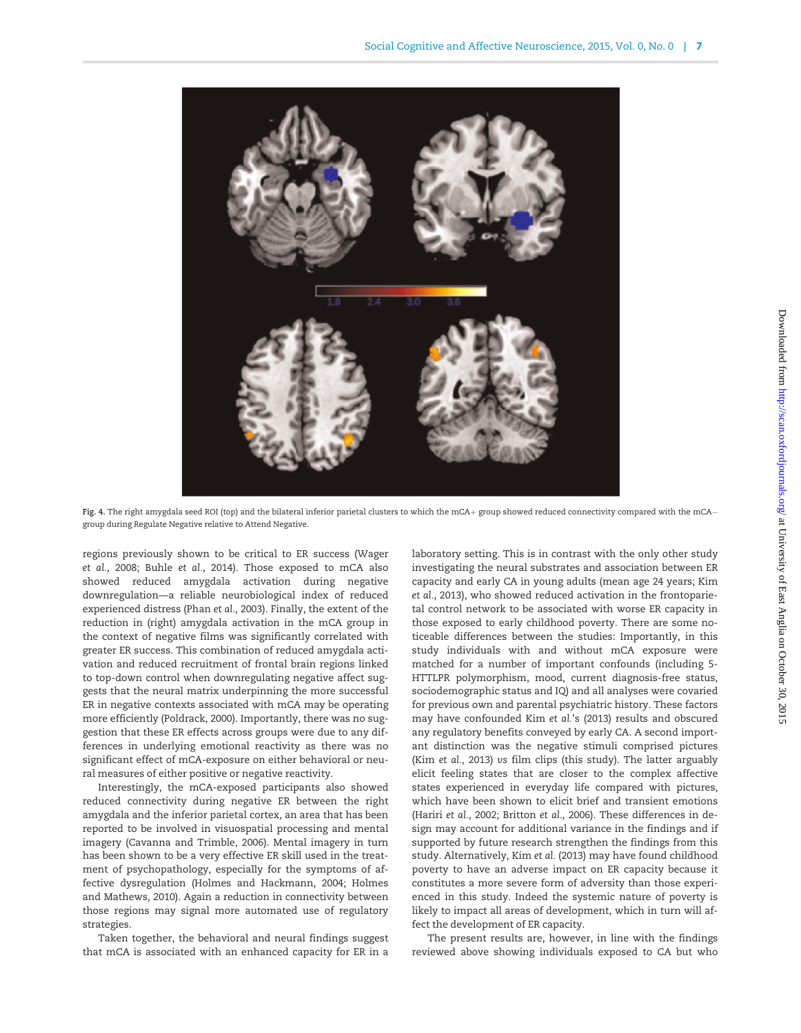<span id="page-6-0"></span>

**Fig. 4.** The right amygdala seed ROI (top) and the bilateral inferior parietal clusters to which the mCA+ group showed reduced connectivity compared with the mCA– group during Regulate Negative relative to Attend Negative.

regions previously shown to be critical to ER success [\(Wager](#page-9-0) et al.[, 2008;](#page-9-0) Buhle et al.[, 2014](#page-8-0)). Those exposed to mCA also showed reduced amygdala activation during negative downregulation—a reliable neurobiological index of reduced experienced distress (Phan et al.[, 2003\)](#page-9-0). Finally, the extent of the reduction in (right) amygdala activation in the mCA group in the context of negative films was significantly correlated with greater ER success. This combination of reduced amygdala activation and reduced recruitment of frontal brain regions linked to top-down control when downregulating negative affect suggests that the neural matrix underpinning the more successful ER in negative contexts associated with mCA may be operating more efficiently ([Poldrack, 2000\)](#page-9-0). Importantly, there was no suggestion that these ER effects across groups were due to any differences in underlying emotional reactivity as there was no significant effect of mCA-exposure on either behavioral or neural measures of either positive or negative reactivity.

Interestingly, the mCA-exposed participants also showed reduced connectivity during negative ER between the right amygdala and the inferior parietal cortex, an area that has been reported to be involved in visuospatial processing and mental imagery [\(Cavanna and Trimble, 2006\)](#page-8-0). Mental imagery in turn has been shown to be a very effective ER skill used in the treatment of psychopathology, especially for the symptoms of affective dysregulation ([Holmes and Hackmann, 2004; Holmes](#page-9-0) [and Mathews, 2010\)](#page-9-0). Again a reduction in connectivity between those regions may signal more automated use of regulatory strategies.

Taken together, the behavioral and neural findings suggest that mCA is associated with an enhanced capacity for ER in a laboratory setting. This is in contrast with the only other study investigating the neural substrates and association between ER capacity and early CA in young adults (mean age 24 years; [Kim](#page-9-0) et al.[, 2013\)](#page-9-0), who showed reduced activation in the frontoparietal control network to be associated with worse ER capacity in those exposed to early childhood poverty. There are some noticeable differences between the studies: Importantly, in this study individuals with and without mCA exposure were matched for a number of important confounds (including 5- HTTLPR polymorphism, mood, current diagnosis-free status, sociodemographic status and IQ) and all analyses were covaried for previous own and parental psychiatric history. These factors may have confounded Kim et al.['s \(2013\)](#page-9-0) results and obscured any regulatory benefits conveyed by early CA. A second important distinction was the negative stimuli comprised pictures (Kim et al.[, 2013\)](#page-9-0) vs film clips (this study). The latter arguably elicit feeling states that are closer to the complex affective states experienced in everyday life compared with pictures, which have been shown to elicit brief and transient emotions (Hariri et al.[, 2002;](#page-9-0) [Britton](#page-8-0) et al., 2006). These differences in design may account for additional variance in the findings and if supported by future research strengthen the findings from this study. Alternatively, Kim et al. [\(2013\)](#page-9-0) may have found childhood poverty to have an adverse impact on ER capacity because it constitutes a more severe form of adversity than those experienced in this study. Indeed the systemic nature of poverty is likely to impact all areas of development, which in turn will affect the development of ER capacity.

The present results are, however, in line with the findings reviewed above showing individuals exposed to CA but who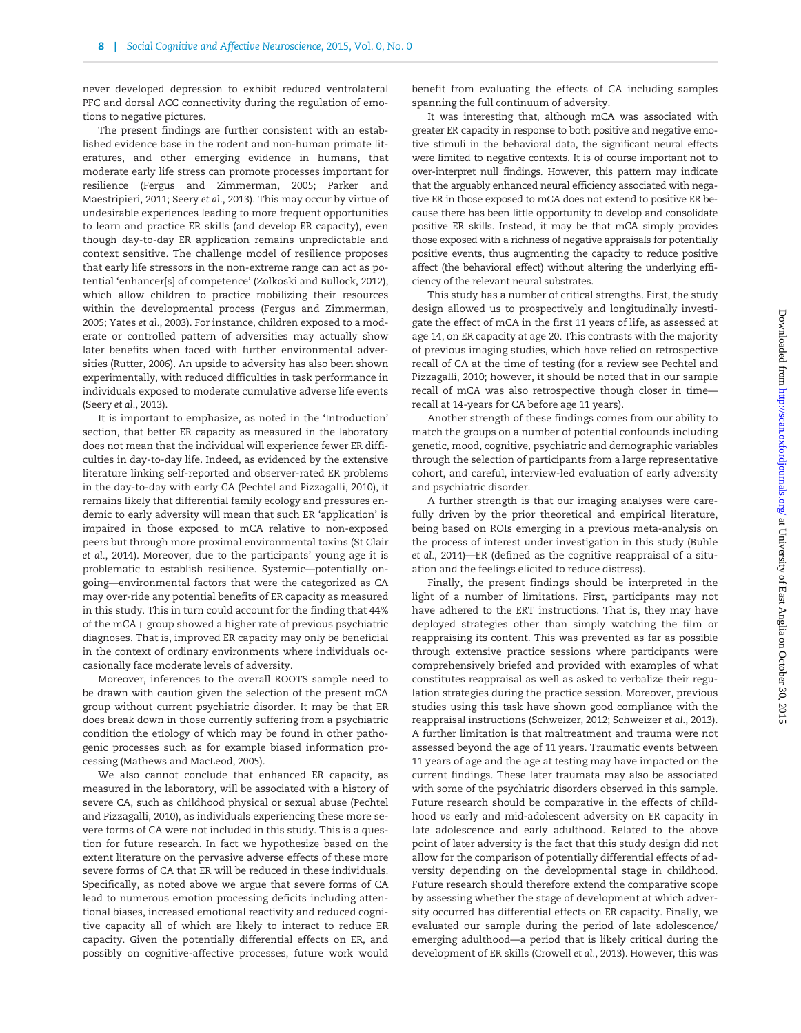never developed depression to exhibit reduced ventrolateral PFC and dorsal ACC connectivity during the regulation of emotions to negative pictures.

The present findings are further consistent with an established evidence base in the rodent and non-human primate literatures, and other emerging evidence in humans, that moderate early life stress can promote processes important for resilience ([Fergus and Zimmerman, 2005;](#page-8-0) [Parker and](#page-9-0) [Maestripieri, 2011;](#page-9-0) Seery et al.[, 2013\)](#page-9-0). This may occur by virtue of undesirable experiences leading to more frequent opportunities to learn and practice ER skills (and develop ER capacity), even though day-to-day ER application remains unpredictable and context sensitive. The challenge model of resilience proposes that early life stressors in the non-extreme range can act as potential 'enhancer[s] of competence' [\(Zolkoski and Bullock, 2012\)](#page-9-0), which allow children to practice mobilizing their resources within the developmental process ([Fergus and Zimmerman,](#page-8-0) [2005;](#page-8-0) Yates et al.[, 2003\)](#page-9-0). For instance, children exposed to a moderate or controlled pattern of adversities may actually show later benefits when faced with further environmental adversities ([Rutter, 2006](#page-9-0)). An upside to adversity has also been shown experimentally, with reduced difficulties in task performance in individuals exposed to moderate cumulative adverse life events [\(Seery](#page-9-0) et al., 2013).

It is important to emphasize, as noted in the 'Introduction' section, that better ER capacity as measured in the laboratory does not mean that the individual will experience fewer ER difficulties in day-to-day life. Indeed, as evidenced by the extensive literature linking self-reported and observer-rated ER problems in the day-to-day with early CA [\(Pechtel and Pizzagalli, 2010](#page-9-0)), it remains likely that differential family ecology and pressures endemic to early adversity will mean that such ER 'application' is impaired in those exposed to mCA relative to non-exposed peers but through more proximal environmental toxins ([St Clair](#page-9-0) et al.[, 2014](#page-9-0)). Moreover, due to the participants' young age it is problematic to establish resilience. Systemic—potentially ongoing—environmental factors that were the categorized as CA may over-ride any potential benefits of ER capacity as measured in this study. This in turn could account for the finding that 44% of the  $mCA+$  group showed a higher rate of previous psychiatric diagnoses. That is, improved ER capacity may only be beneficial in the context of ordinary environments where individuals occasionally face moderate levels of adversity.

Moreover, inferences to the overall ROOTS sample need to be drawn with caution given the selection of the present mCA group without current psychiatric disorder. It may be that ER does break down in those currently suffering from a psychiatric condition the etiology of which may be found in other pathogenic processes such as for example biased information processing [\(Mathews and MacLeod, 2005](#page-9-0)).

We also cannot conclude that enhanced ER capacity, as measured in the laboratory, will be associated with a history of severe CA, such as childhood physical or sexual abuse [\(Pechtel](#page-9-0) [and Pizzagalli, 2010](#page-9-0)), as individuals experiencing these more severe forms of CA were not included in this study. This is a question for future research. In fact we hypothesize based on the extent literature on the pervasive adverse effects of these more severe forms of CA that ER will be reduced in these individuals. Specifically, as noted above we argue that severe forms of CA lead to numerous emotion processing deficits including attentional biases, increased emotional reactivity and reduced cognitive capacity all of which are likely to interact to reduce ER capacity. Given the potentially differential effects on ER, and possibly on cognitive-affective processes, future work would

benefit from evaluating the effects of CA including samples spanning the full continuum of adversity.

It was interesting that, although mCA was associated with greater ER capacity in response to both positive and negative emotive stimuli in the behavioral data, the significant neural effects were limited to negative contexts. It is of course important not to over-interpret null findings. However, this pattern may indicate that the arguably enhanced neural efficiency associated with negative ER in those exposed to mCA does not extend to positive ER because there has been little opportunity to develop and consolidate positive ER skills. Instead, it may be that mCA simply provides those exposed with a richness of negative appraisals for potentially positive events, thus augmenting the capacity to reduce positive affect (the behavioral effect) without altering the underlying efficiency of the relevant neural substrates.

This study has a number of critical strengths. First, the study design allowed us to prospectively and longitudinally investigate the effect of mCA in the first 11 years of life, as assessed at age 14, on ER capacity at age 20. This contrasts with the majority of previous imaging studies, which have relied on retrospective recall of CA at the time of testing (for a review see [Pechtel and](#page-9-0) [Pizzagalli, 2010](#page-9-0); however, it should be noted that in our sample recall of mCA was also retrospective though closer in time recall at 14-years for CA before age 11 years).

Another strength of these findings comes from our ability to match the groups on a number of potential confounds including genetic, mood, cognitive, psychiatric and demographic variables through the selection of participants from a large representative cohort, and careful, interview-led evaluation of early adversity and psychiatric disorder.

A further strength is that our imaging analyses were carefully driven by the prior theoretical and empirical literature, being based on ROIs emerging in a previous meta-analysis on the process of interest under investigation in this study [\(Buhle](#page-8-0) et al.[, 2014\)](#page-8-0)—ER (defined as the cognitive reappraisal of a situation and the feelings elicited to reduce distress).

Finally, the present findings should be interpreted in the light of a number of limitations. First, participants may not have adhered to the ERT instructions. That is, they may have deployed strategies other than simply watching the film or reappraising its content. This was prevented as far as possible through extensive practice sessions where participants were comprehensively briefed and provided with examples of what constitutes reappraisal as well as asked to verbalize their regulation strategies during the practice session. Moreover, previous studies using this task have shown good compliance with the reappraisal instructions ([Schweizer, 2012; Schweizer](#page-9-0) et al., 2013). A further limitation is that maltreatment and trauma were not assessed beyond the age of 11 years. Traumatic events between 11 years of age and the age at testing may have impacted on the current findings. These later traumata may also be associated with some of the psychiatric disorders observed in this sample. Future research should be comparative in the effects of childhood vs early and mid-adolescent adversity on ER capacity in late adolescence and early adulthood. Related to the above point of later adversity is the fact that this study design did not allow for the comparison of potentially differential effects of adversity depending on the developmental stage in childhood. Future research should therefore extend the comparative scope by assessing whether the stage of development at which adversity occurred has differential effects on ER capacity. Finally, we evaluated our sample during the period of late adolescence/ emerging adulthood—a period that is likely critical during the development of ER skills ([Crowell](#page-8-0) et al., 2013). However, this was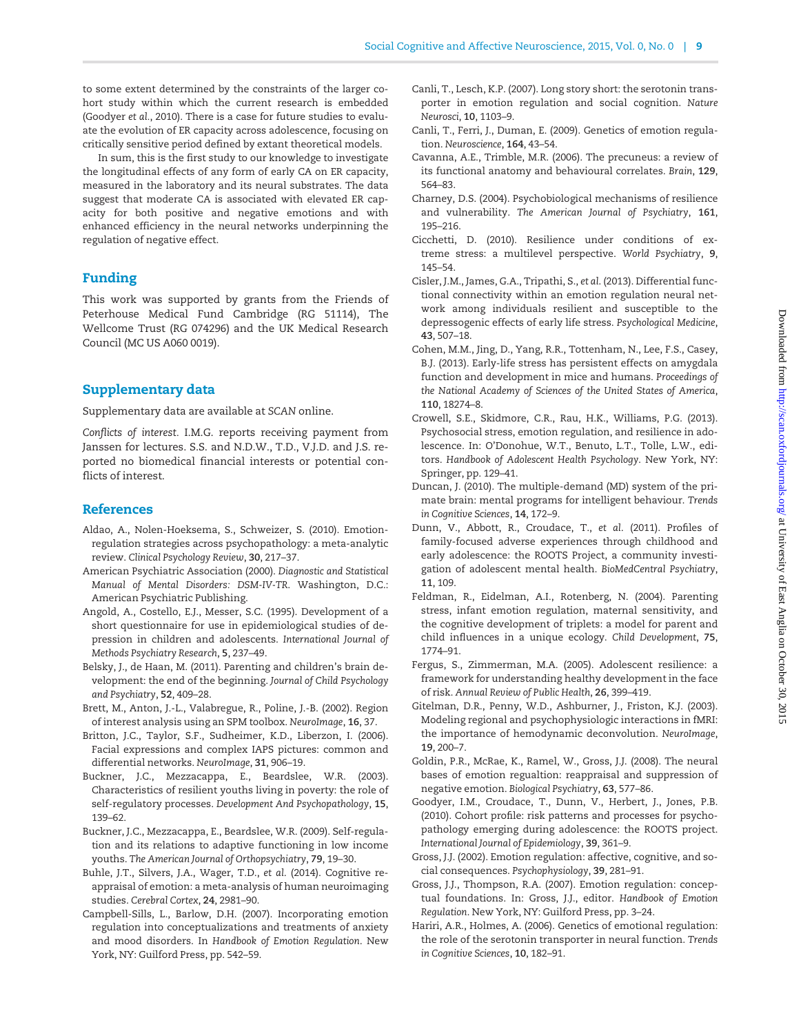<span id="page-8-0"></span>to some extent determined by the constraints of the larger cohort study within which the current research is embedded (Goodyer et al., 2010). There is a case for future studies to evaluate the evolution of ER capacity across adolescence, focusing on critically sensitive period defined by extant theoretical models.

In sum, this is the first study to our knowledge to investigate the longitudinal effects of any form of early CA on ER capacity, measured in the laboratory and its neural substrates. The data suggest that moderate CA is associated with elevated ER capacity for both positive and negative emotions and with enhanced efficiency in the neural networks underpinning the regulation of negative effect.

# Funding

This work was supported by grants from the Friends of Peterhouse Medical Fund Cambridge (RG 51114), The Wellcome Trust (RG 074296) and the UK Medical Research Council (MC US A060 0019).

## Supplementary data

[Supplementary data](http://scan.oxfordjournals.org/lookup/suppl/doi:10.1093/scan/nsv109/-/DC1) are available at SCAN online.

Conflicts of interest. I.M.G. reports receiving payment from Janssen for lectures. S.S. and N.D.W., T.D., V.J.D. and J.S. reported no biomedical financial interests or potential conflicts of interest.

## References

- Aldao, A., Nolen-Hoeksema, S., Schweizer, S. (2010). Emotionregulation strategies across psychopathology: a meta-analytic review. Clinical Psychology Review, 30, 217–37.
- American Psychiatric Association (2000). Diagnostic and Statistical Manual of Mental Disorders: DSM-IV-TR. Washington, D.C.: American Psychiatric Publishing.
- Angold, A., Costello, E.J., Messer, S.C. (1995). Development of a short questionnaire for use in epidemiological studies of depression in children and adolescents. International Journal of Methods Psychiatry Research, 5, 237–49.
- Belsky, J., de Haan, M. (2011). Parenting and children's brain development: the end of the beginning. Journal of Child Psychology and Psychiatry, 52, 409–28.
- Brett, M., Anton, J.-L., Valabregue, R., Poline, J.-B. (2002). Region of interest analysis using an SPM toolbox. NeuroImage, 16, 37.
- Britton, J.C., Taylor, S.F., Sudheimer, K.D., Liberzon, I. (2006). Facial expressions and complex IAPS pictures: common and differential networks. NeuroImage, 31, 906–19.
- Buckner, J.C., Mezzacappa, E., Beardslee, W.R. (2003). Characteristics of resilient youths living in poverty: the role of self-regulatory processes. Development And Psychopathology, 15, 139–62.
- Buckner, J.C., Mezzacappa, E., Beardslee, W.R. (2009). Self-regulation and its relations to adaptive functioning in low income youths. The American Journal of Orthopsychiatry, 79, 19–30.
- Buhle, J.T., Silvers, J.A., Wager, T.D., et al. (2014). Cognitive reappraisal of emotion: a meta-analysis of human neuroimaging studies. Cerebral Cortex, 24, 2981–90.
- Campbell-Sills, L., Barlow, D.H. (2007). Incorporating emotion regulation into conceptualizations and treatments of anxiety and mood disorders. In Handbook of Emotion Regulation. New York, NY: Guilford Press, pp. 542–59.
- Canli, T., Lesch, K.P. (2007). Long story short: the serotonin transporter in emotion regulation and social cognition. Nature Neurosci, 10, 1103–9.
- Canli, T., Ferri, J., Duman, E. (2009). Genetics of emotion regulation. Neuroscience, 164, 43–54.
- Cavanna, A.E., Trimble, M.R. (2006). The precuneus: a review of its functional anatomy and behavioural correlates. Brain, 129, 564–83.
- Charney, D.S. (2004). Psychobiological mechanisms of resilience and vulnerability. The American Journal of Psychiatry, 161, 195–216.
- Cicchetti, D. (2010). Resilience under conditions of extreme stress: a multilevel perspective. World Psychiatry, 9, 145–54.
- Cisler, J.M., James, G.A., Tripathi, S., et al. (2013). Differential functional connectivity within an emotion regulation neural network among individuals resilient and susceptible to the depressogenic effects of early life stress. Psychological Medicine, 43, 507–18.
- Cohen, M.M., Jing, D., Yang, R.R., Tottenham, N., Lee, F.S., Casey, B.J. (2013). Early-life stress has persistent effects on amygdala function and development in mice and humans. Proceedings of the National Academy of Sciences of the United States of America, 110, 18274–8.
- Crowell, S.E., Skidmore, C.R., Rau, H.K., Williams, P.G. (2013). Psychosocial stress, emotion regulation, and resilience in adolescence. In: O'Donohue, W.T., Benuto, L.T., Tolle, L.W., editors. Handbook of Adolescent Health Psychology. New York, NY: Springer, pp. 129–41.
- Duncan, J. (2010). The multiple-demand (MD) system of the primate brain: mental programs for intelligent behaviour. Trends in Cognitive Sciences, 14, 172–9.
- Dunn, V., Abbott, R., Croudace, T., et al. (2011). Profiles of family-focused adverse experiences through childhood and early adolescence: the ROOTS Project, a community investigation of adolescent mental health. BioMedCentral Psychiatry, 11, 109.
- Feldman, R., Eidelman, A.I., Rotenberg, N. (2004). Parenting stress, infant emotion regulation, maternal sensitivity, and the cognitive development of triplets: a model for parent and child influences in a unique ecology. Child Development, 75, 1774–91.
- Fergus, S., Zimmerman, M.A. (2005). Adolescent resilience: a framework for understanding healthy development in the face of risk. Annual Review of Public Health, 26, 399–419.
- Gitelman, D.R., Penny, W.D., Ashburner, J., Friston, K.J. (2003). Modeling regional and psychophysiologic interactions in fMRI: the importance of hemodynamic deconvolution. NeuroImage, 19, 200–7.
- Goldin, P.R., McRae, K., Ramel, W., Gross, J.J. (2008). The neural bases of emotion regualtion: reappraisal and suppression of negative emotion. Biological Psychiatry, 63, 577–86.
- Goodyer, I.M., Croudace, T., Dunn, V., Herbert, J., Jones, P.B. (2010). Cohort profile: risk patterns and processes for psychopathology emerging during adolescence: the ROOTS project. International Journal of Epidemiology, 39, 361–9.
- Gross, J.J. (2002). Emotion regulation: affective, cognitive, and social consequences. Psychophysiology, 39, 281–91.
- Gross, J.J., Thompson, R.A. (2007). Emotion regulation: conceptual foundations. In: Gross, J.J., editor. Handbook of Emotion Regulation. New York, NY: Guilford Press, pp. 3–24.
- Hariri, A.R., Holmes, A. (2006). Genetics of emotional regulation: the role of the serotonin transporter in neural function. Trends in Cognitive Sciences, 10, 182–91.